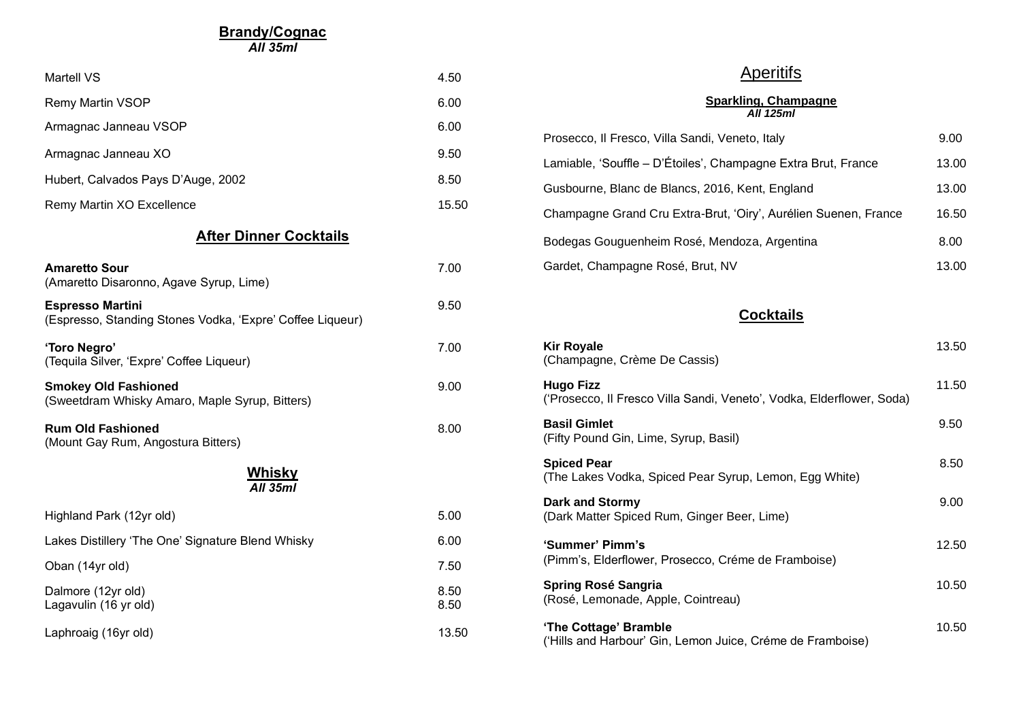**Brandy/Cognac**

*All 35ml*

| <b>Martell VS</b>                                                                    | 4.50         |  |  |
|--------------------------------------------------------------------------------------|--------------|--|--|
| <b>Remy Martin VSOP</b>                                                              | 6.00         |  |  |
| Armagnac Janneau VSOP                                                                | 6.00         |  |  |
| Armagnac Janneau XO                                                                  | 9.50         |  |  |
| Hubert, Calvados Pays D'Auge, 2002                                                   | 8.50         |  |  |
| Remy Martin XO Excellence                                                            | 15.50        |  |  |
| <b>After Dinner Cocktails</b>                                                        |              |  |  |
| <b>Amaretto Sour</b><br>(Amaretto Disaronno, Agave Syrup, Lime)                      | 7.00         |  |  |
| <b>Espresso Martini</b><br>(Espresso, Standing Stones Vodka, 'Expre' Coffee Liqueur) | 9.50         |  |  |
| 'Toro Negro'<br>(Tequila Silver, 'Expre' Coffee Liqueur)                             | 7.00         |  |  |
| <b>Smokey Old Fashioned</b><br>(Sweetdram Whisky Amaro, Maple Syrup, Bitters)        | 9.00         |  |  |
| <b>Rum Old Fashioned</b><br>(Mount Gay Rum, Angostura Bitters)                       | 8.00         |  |  |
| <u>Whisky</u><br>All 35ml                                                            |              |  |  |
| Highland Park (12yr old)                                                             | 5.00         |  |  |
| Lakes Distillery 'The One' Signature Blend Whisky                                    | 6.00         |  |  |
| Oban (14yr old)                                                                      | 7.50         |  |  |
| Dalmore (12yr old)<br>Lagavulin (16 yr old)                                          | 8.50<br>8.50 |  |  |
| Laphroaig (16yr old)                                                                 | 13.50        |  |  |

## **Aperitifs**

**Sparkling, Champagne** *All 125ml*

| Prosecco, Il Fresco, Villa Sandi, Veneto, Italy                 | 9.00  |
|-----------------------------------------------------------------|-------|
| Lamiable, 'Souffle - D'Étoiles', Champagne Extra Brut, France   | 13.00 |
| Gusbourne, Blanc de Blancs, 2016, Kent, England                 | 13.00 |
| Champagne Grand Cru Extra-Brut, 'Oiry', Aurélien Suenen, France | 16.50 |
| Bodegas Gouguenheim Rosé, Mendoza, Argentina                    | 8.00  |
| Gardet, Champagne Rosé, Brut, NV                                | 13.00 |

**Cocktails**

| <b>Kir Royale</b><br>(Champagne, Crème De Cassis)                                         | 13.50 |
|-------------------------------------------------------------------------------------------|-------|
| <b>Hugo Fizz</b><br>('Prosecco, Il Fresco Villa Sandi, Veneto', Vodka, Elderflower, Soda) | 11.50 |
| <b>Basil Gimlet</b><br>(Fifty Pound Gin, Lime, Syrup, Basil)                              | 9.50  |
| <b>Spiced Pear</b><br>(The Lakes Vodka, Spiced Pear Syrup, Lemon, Egg White)              | 8.50  |
| Dark and Stormy<br>(Dark Matter Spiced Rum, Ginger Beer, Lime)                            | 9.00  |
| 'Summer' Pimm's<br>(Pimm's, Elderflower, Prosecco, Créme de Framboise)                    | 12.50 |
| Spring Rosé Sangria<br>(Rosé, Lemonade, Apple, Cointreau)                                 | 10.50 |
| 'The Cottage' Bramble<br>('Hills and Harbour' Gin, Lemon Juice, Créme de Framboise)       | 10.50 |